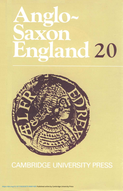# Anglo-Saxon England 20



## **CAMBRIDGE UNIVERSITY PRESS**

https://doi.org/10.1017/S026367510000168X Published online by Cambridge University Press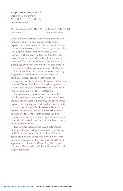#### **Anglo-Saxon England 20** EXECUTIVE EDITORS MICHAEL LAPIDGE *University of Cambridge*

#### MALCOLM GODDEN SIMON KEYNES *University of Oxford University of Cambridge*

This volume illustrates some of the exciting new paths of enquiry which are currently being explored in many different fields of Anglo-Saxon studies - archaeology, legal history, palaeography, Old English syntax and poetic style, Latin learning with its many reflexes in Old English prose literature, and others. In all these fields it is clear that fresh perspectives may be achieved by examining even well-known objects and texts in the light of modern approaches and scholarship.

Several studies concentrate on aspects of early Anglo-Saxon civilization: the settlement at Mucking, Essex, recently excavated; the iconography of the famous gold coin struck in the name of Bishop Liudhard; the early Anglo-Saxon law on adultery; and a reconstruction of an early Anglo-Saxon copy of the Heptateuch.

An insufficiently understood feature of Old English syntax — the use of modal verbs — forms the subject of a detailed analysis, and three essays explore the language of Old English poetry, with reference to *Beowulf, The Wanderer* and the Paris Psalter. Other essays make new contributions to our knowledge of the Latin sources used by Anglo-Saxon authors. Finally, attention is drawn to a pair of hooked tags found in the last century in the Roman forum.

The volume includes the invaluable annual bibliography, providing a comprehensive listing of 1990 publications in all branches of Anglo-Saxon studies, and concludes with the five-year index to volumes 16—20. (Previous indexes have appeared in volumes 5, 10 and 15.) Once again this is a collection that will be indispensable to all Anglo-Saxonists.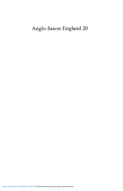## Anglo-Saxon England 20

<https://doi.org/10.1017/S026367510000168X>Published online by Cambridge University Press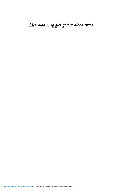Her mon mæg giet gesion hiora swæð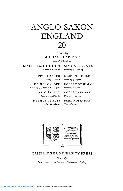

Edited by MICHAEL LAPIDGE *University of Cambridge*

MALCOLM GODDEN SIMON KEYNES

*University of California, Los Angeles University of Toronto*

HELMUT GNEUSS FRED ROBINSON *Universitat Miinchen Yale University*

*University of Oxford University of Cambridge*

PETER BAKER MARTIN BIDDLE *Emory University University of Oxford*

DANIEL CALDER ROBERT DESHMAN

KLAUS DIETZ ROBERTA FRANK *Freie Universitat Berlin University of Toronto*



CAMBRIDGE UNIVERSITY PRESS

*Cambridge New York Port Chester Melbourne Sydney*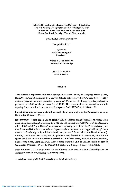Published by the Press Syndicate of the University of Cambridge The Pitt Building, Trumpington Street, Cambridge CB2 1RP 40 West 20th Street, New York NY 10011-4211, USA<br>10 Stamford Road, Oakleigh, Victoria 3166, Australia

C Cambridge University Press 1991

First published 1991 First published 1991

Typeset by Servis Filmsetting Ltd Manchester

Printed in Great Britain by Dotesios Ltd Trowbridge

> ISBN 0 521 41380 X ISSN 0263-6751

> > **COPYING**

This journal is registered with the Copyright Clearance Centre, 27 Congress Street, Salem, Mass. 01970. Organizations in the USA who are also registered with C.C.C. may therefore copy material (beyond the limits permitted by sections 107 and 108 of US copyright law) subject to payment to C.C.C. of the per-copy fee of \$5.00. This consent does not extend to multiple copying for promotional or commercial purposes. Code 0263-6751/91 \$5.00+ .00.

For all other use, permission should be sought from Cambridge or the American Branch of Cambridge University Press.

SUBSCRIPTIONS: Anglo-Saxon England (ISSN 0263-6751) is an annual journal. The subscription price (including postage) of volume 20 is £52 for UK institutions (US\$89 in USA and Canada), £38 (US\$56 in USA and Canada) for individuals ordering direct from the Press and certifying that the annual is for their personal use. Copies may be sent airmail where applicable for  $\ell$ 7 extra (orders to Cambridge only - dollar subscription price *includes ait* delivery to North America). Orders, which must be accompanied by payment, may be sent to a bookseller, subscription agent, or direct to the publishers: Cambridge University Press, The Edinburgh Building, Shaftesbury Road, Cambridge CB2 2RU. Orders from the USA or Canada should be sent to Cambridge University Press, 40 West 20th Street, New York, NY 10011-4211, USA.

Back volumes: £47.00 (US\$91.00 US and Canada) each available from Cambridge or the American Branch of Cambridge University Press.

*A catalogue record of this book is available from the British Library.*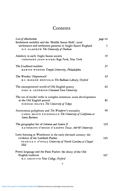### Contents

| List of illustrations                                                                                                                                                   | page vii |
|-------------------------------------------------------------------------------------------------------------------------------------------------------------------------|----------|
| Settlement mobility and the 'Middle Saxon Shift': rural<br>settlements and settlement patterns in Anglo-Saxon England<br>H.F. HAMEROW The University of Durham          | 1        |
|                                                                                                                                                                         |          |
| Adultery in early Anglo-Saxon society<br>THEODORE JOHN RIVERS Rego Park, New York                                                                                       | 19       |
| The Liudhard medalet                                                                                                                                                    | 27       |
| MARTIN WERNER Temple University, Philadelphia                                                                                                                           |          |
| The Werden 'Heptateuch'                                                                                                                                                 | 43       |
| B.C. BARKER-BENFIELD The Bodleian Library, Oxford                                                                                                                       |          |
| The uncarpentered world of Old English poetry<br>EARL R. ANDERSON Cleveland State University                                                                            | 65       |
| The use of modal verbs in complex sentences: some developments<br>in the Old English period<br>HIROSHI OGAWA The University of Tokyo                                    | 81       |
| Anonymous polyphony and The Wanderer's textuality<br>CAROL BRAUN PASTERNACK The University of California at<br>Santa Barbara                                            | 99       |
| The geographic list of Solomon and Saturn II<br>KATHERINE O'BRIEN O'KEEFFE Texas A&M University                                                                         | 123      |
| Latin learning at Winchester in the early eleventh century: the<br>evidence of the Lambeth Psalter<br>PATRICK P. O'NEILL University of North Carolina at Chapel<br>Hill | 143      |
| Poetic language and the Paris Psalter: the decay of the Old<br>English tradition<br>M.S. GRIFFITH New College, Oxford                                                   | 167      |

 $\mathbf{v}$